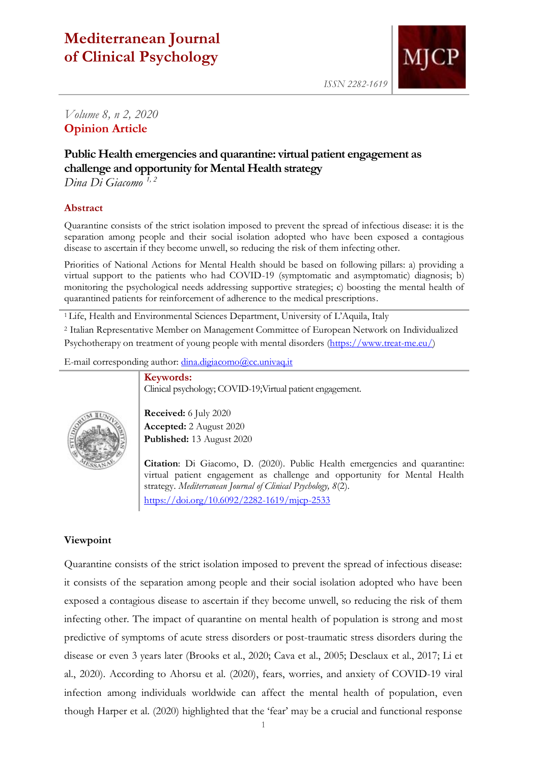# **Mediterranean Journal of Clinical Psychology**



*Volume 8, n 2, 2020* **Opinion Article**

## **Public Health emergencies and quarantine: virtual patient engagement as challenge and opportunity for Mental Health strategy**

*Dina Di Giacomo 1, 2*

#### **Abstract**

Quarantine consists of the strict isolation imposed to prevent the spread of infectious disease: it is the separation among people and their social isolation adopted who have been exposed a contagious disease to ascertain if they become unwell, so reducing the risk of them infecting other.

Priorities of National Actions for Mental Health should be based on following pillars: a) providing a virtual support to the patients who had COVID-19 (symptomatic and asymptomatic) diagnosis; b) monitoring the psychological needs addressing supportive strategies; c) boosting the mental health of quarantined patients for reinforcement of adherence to the medical prescriptions.

<sup>1</sup>Life, Health and Environmental Sciences Department, University of L'Aquila, Italy

<sup>2</sup> Italian Representative Member on Management Committee of European Network on Individualized Psychotherapy on treatment of young people with mental disorders [\(https://www.treat-me.eu/\)](https://www.treat-me.eu/)

Clinical psychology; COVID-19;Virtual patient engagement.

E-mail corresponding author: [dina.digiacomo@cc.univaq.it](mailto:dina.digiacomo@cc.univaq.it)

**Keywords:**



**Received:** 6 July 2020 **Accepted:** 2 August 2020 **Published:** 13 August 2020

**Citation**: Di Giacomo, D. (2020). Public Health emergencies and quarantine: virtual patient engagement as challenge and opportunity for Mental Health strategy. *Mediterranean Journal of Clinical Psychology, 8*(2). <https://doi.org/10.6092/2282-1619/mjcp-2533>

### **Viewpoint**

Quarantine consists of the strict isolation imposed to prevent the spread of infectious disease: it consists of the separation among people and their social isolation adopted who have been exposed a contagious disease to ascertain if they become unwell, so reducing the risk of them infecting other. The impact of quarantine on mental health of population is strong and most predictive of symptoms of acute stress disorders or post-traumatic stress disorders during the disease or even 3 years later (Brooks et al., 2020; Cava et al., 2005; Desclaux et al., 2017; Li et al., 2020). According to Ahorsu et al. (2020), fears, worries, and anxiety of COVID-19 viral infection among individuals worldwide can affect the mental health of population, even though Harper et al. (2020) highlighted that the 'fear' may be a crucial and functional response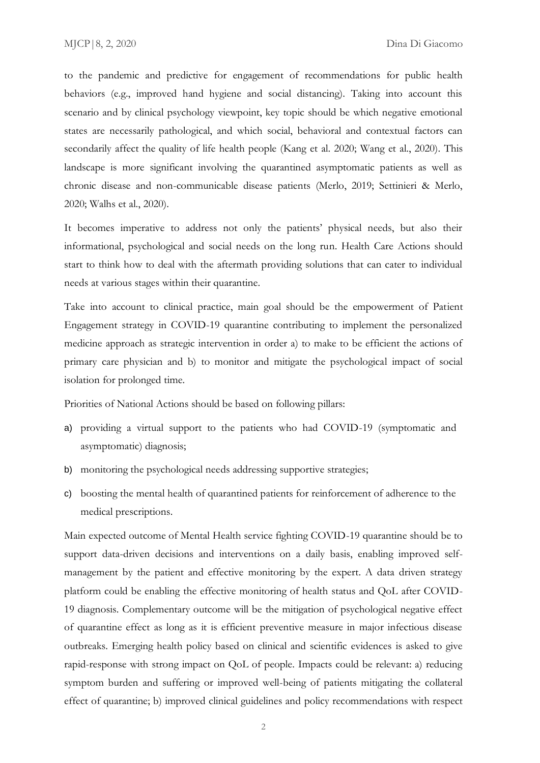to the pandemic and predictive for engagement of recommendations for public health behaviors (e.g., improved hand hygiene and social distancing). Taking into account this scenario and by clinical psychology viewpoint, key topic should be which negative emotional states are necessarily pathological, and which social, behavioral and contextual factors can secondarily affect the quality of life health people (Kang et al. 2020; Wang et al., 2020). This landscape is more significant involving the quarantined asymptomatic patients as well as chronic disease and non-communicable disease patients (Merlo, 2019; Settinieri & Merlo, 2020; Walhs et al., 2020).

It becomes imperative to address not only the patients' physical needs, but also their informational, psychological and social needs on the long run. Health Care Actions should start to think how to deal with the aftermath providing solutions that can cater to individual needs at various stages within their quarantine.

Take into account to clinical practice, main goal should be the empowerment of Patient Engagement strategy in COVID-19 quarantine contributing to implement the personalized medicine approach as strategic intervention in order a) to make to be efficient the actions of primary care physician and b) to monitor and mitigate the psychological impact of social isolation for prolonged time.

Priorities of National Actions should be based on following pillars:

- a) providing a virtual support to the patients who had COVID-19 (symptomatic and asymptomatic) diagnosis;
- b) monitoring the psychological needs addressing supportive strategies;
- c) boosting the mental health of quarantined patients for reinforcement of adherence to the medical prescriptions.

Main expected outcome of Mental Health service fighting COVID-19 quarantine should be to support data-driven decisions and interventions on a daily basis, enabling improved selfmanagement by the patient and effective monitoring by the expert. A data driven strategy platform could be enabling the effective monitoring of health status and QoL after COVID-19 diagnosis. Complementary outcome will be the mitigation of psychological negative effect of quarantine effect as long as it is efficient preventive measure in major infectious disease outbreaks. Emerging health policy based on clinical and scientific evidences is asked to give rapid-response with strong impact on QoL of people. Impacts could be relevant: a) reducing symptom burden and suffering or improved well-being of patients mitigating the collateral effect of quarantine; b) improved clinical guidelines and policy recommendations with respect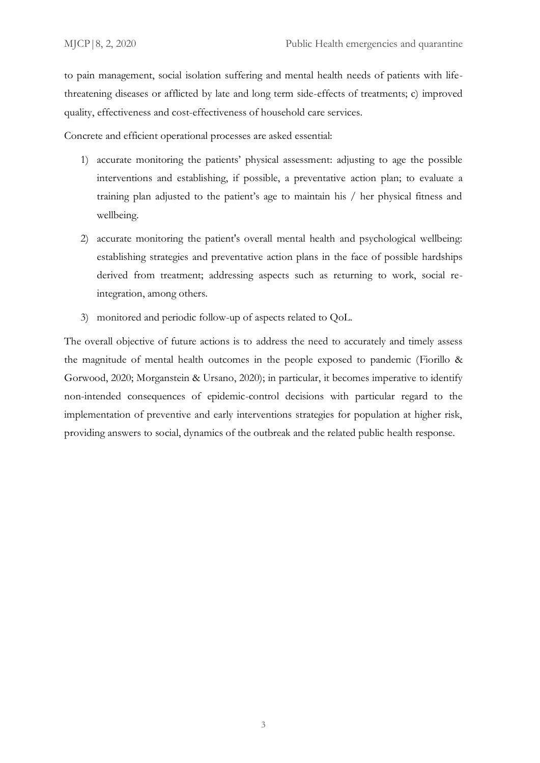to pain management, social isolation suffering and mental health needs of patients with lifethreatening diseases or afflicted by late and long term side-effects of treatments; c) improved quality, effectiveness and cost-effectiveness of household care services.

Concrete and efficient operational processes are asked essential:

- 1) accurate monitoring the patients' physical assessment: adjusting to age the possible interventions and establishing, if possible, a preventative action plan; to evaluate a training plan adjusted to the patient's age to maintain his / her physical fitness and wellbeing.
- 2) accurate monitoring the patient's overall mental health and psychological wellbeing: establishing strategies and preventative action plans in the face of possible hardships derived from treatment; addressing aspects such as returning to work, social reintegration, among others.
- 3) monitored and periodic follow-up of aspects related to QoL.

The overall objective of future actions is to address the need to accurately and timely assess the magnitude of mental health outcomes in the people exposed to pandemic (Fiorillo & Gorwood, 2020; Morganstein & Ursano, 2020); in particular, it becomes imperative to identify non-intended consequences of epidemic-control decisions with particular regard to the implementation of preventive and early interventions strategies for population at higher risk, providing answers to social, dynamics of the outbreak and the related public health response.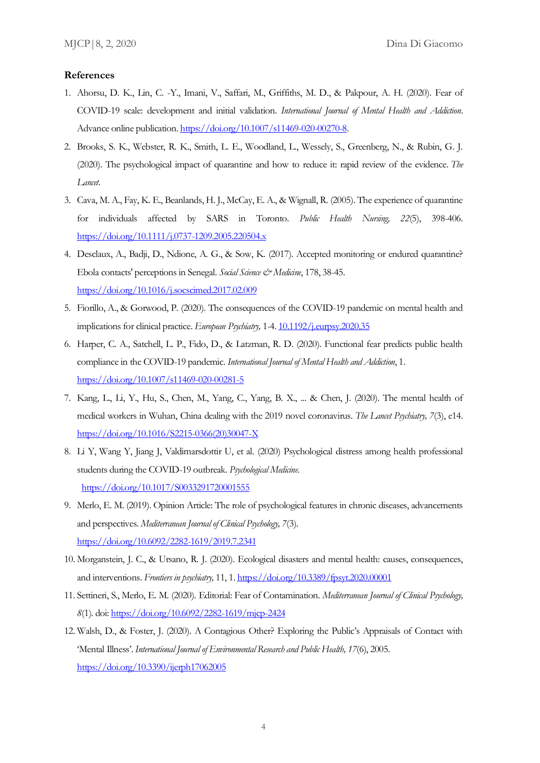#### **References**

- 1. Ahorsu, D. K., Lin, C. -Y., Imani, V., Saffari, M., Griffiths, M. D., & Pakpour, A. H. (2020). Fear of COVID-19 scale: development and initial validation. *International Journal of Mental Health and Addiction*. Advance online publication. [https://doi.org/10.1007/s11469-020-00270-8.](https://doi.org/10.1007/s11469-020-00270-8)
- 2. Brooks, S. K., Webster, R. K., Smith, L. E., Woodland, L., Wessely, S., Greenberg, N., & Rubin, G. J. (2020). The psychological impact of quarantine and how to reduce it: rapid review of the evidence. *The Lancet*.
- 3. Cava, M. A., Fay, K. E., Beanlands, H. J., McCay, E. A., & Wignall, R. (2005). The experience of quarantine for individuals affected by SARS in Toronto. *Public Health Nursing, 22*(5), 398-406. <https://doi.org/10.1111/j.0737-1209.2005.220504.x>
- 4. Desclaux, A., Badji, D., Ndione, A. G., & Sow, K. (2017). Accepted monitoring or endured quarantine? Ebola contacts' perceptions in Senegal. *Social Science & Medicine*, 178, 38-45. <https://doi.org/10.1016/j.socscimed.2017.02.009>
- 5. Fiorillo, A., & Gorwood, P. (2020). The consequences of the COVID-19 pandemic on mental health and implications for clinical practice. *European Psychiatry,* 1-4. [10.1192/j.eurpsy.2020.35](https://dx.doi.org/10.1192%2Fj.eurpsy.2020.35)
- 6. Harper, C. A., Satchell, L. P., Fido, D., & Latzman, R. D. (2020). Functional fear predicts public health compliance in the COVID-19 pandemic. *International Journal of Mental Health and Addiction*, 1. <https://doi.org/10.1007/s11469-020-00281-5>
- 7. Kang, L., Li, Y., Hu, S., Chen, M., Yang, C., Yang, B. X., ... & Chen, J. (2020). The mental health of medical workers in Wuhan, China dealing with the 2019 novel coronavirus. *The Lancet Psychiatry, 7*(3), e14. [https://doi.org/10.1016/S2215-0366\(20\)30047-X](https://doi.org/10.1016/S2215-0366(20)30047-X)
- 8. Li Y, Wang Y, Jiang J, Valdimarsdottir U, et al. (2020) Psychological distress among health professional students during the COVID-19 outbreak. *Psychological Medicine*. <https://doi.org/10.1017/S0033291720001555>
- 9. Merlo, E. M. (2019). Opinion Article: The role of psychological features in chronic diseases, advancements and perspectives. *Mediterranean Journal of Clinical Psychology, 7*(3). <https://doi.org/10.6092/2282-1619/2019.7.2341>
- 10. Morganstein, J. C., & Ursano, R. J. (2020). Ecological disasters and mental health: causes, consequences, and interventions. *Frontiers in psychiatry,* 11, 1[. https://doi.org/10.3389/fpsyt.2020.00001](https://doi.org/10.3389/fpsyt.2020.00001)
- 11. Settineri, S., Merlo, E. M. (2020). Editorial: Fear of Contamination. *Mediterranean Journal of Clinical Psychology, 8*(1). doi[: https://doi.org/10.6092/2282-1619/mjcp-2424](https://doi.org/10.6092/2282-1619/mjcp-2424)
- 12. Walsh, D., & Foster, J. (2020). A Contagious Other? Exploring the Public's Appraisals of Contact with 'Mental Illness'. *International Journal of Environmental Research and Public Health, 17*(6), 2005. <https://doi.org/10.3390/ijerph17062005>